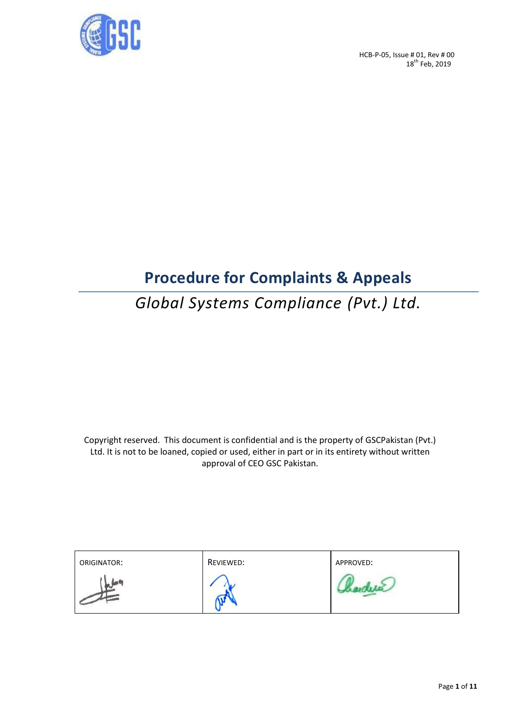

## **Procedure for Complaints & Appeals**

## *Global Systems Compliance (Pvt.) Ltd.*

Copyright reserved. This document is confidential and is the property of GSCPakistan (Pvt.) Ltd. It is not to be loaned, copied or used, either in part or in its entirety without written approval of CEO GSC Pakistan.

| ORIGINATOR: | REVIEWED: | APPROVED: |
|-------------|-----------|-----------|
|             |           |           |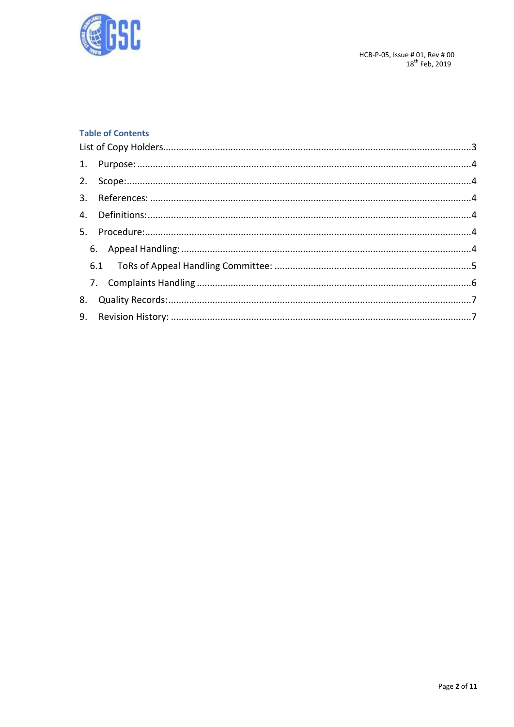

### **Table of Contents**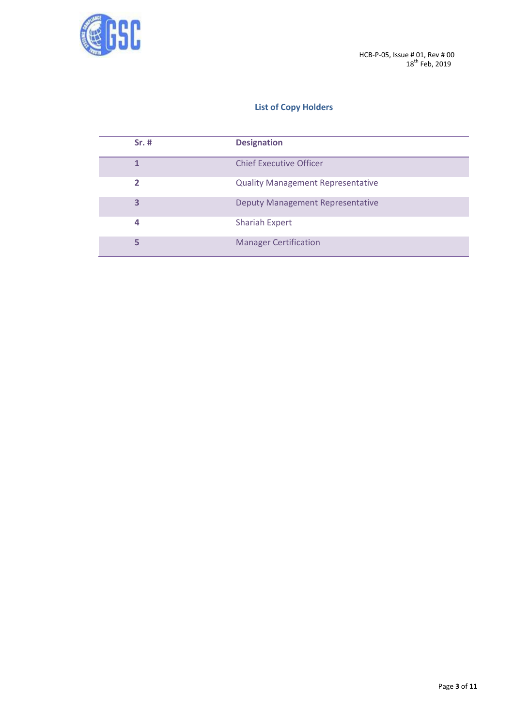

## **List of Copy Holders**

<span id="page-2-0"></span>

| $Sr.$ # | <b>Designation</b>                       |
|---------|------------------------------------------|
|         | <b>Chief Executive Officer</b>           |
| 2       | <b>Quality Management Representative</b> |
| 3       | <b>Deputy Management Representative</b>  |
| 4       | <b>Shariah Expert</b>                    |
| 5       | <b>Manager Certification</b>             |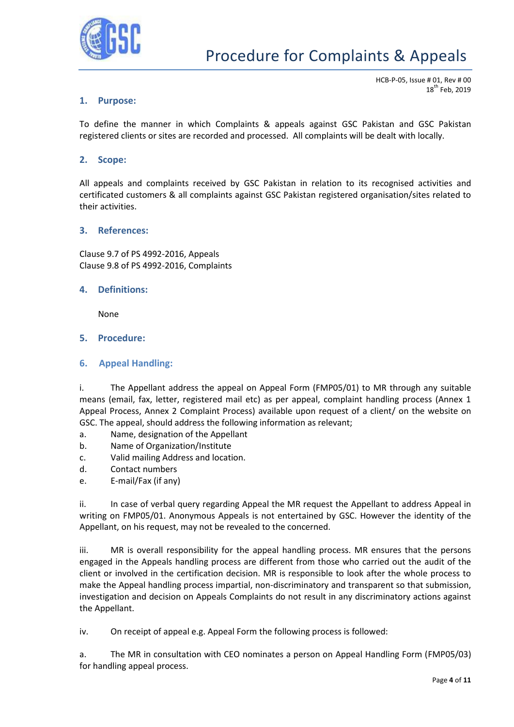

#### <span id="page-3-0"></span>**1. Purpose:**

HCB-P-05, Issue # 01, Rev # 00  $18^{th}$  Feb, 2019

To define the manner in which Complaints & appeals against GSC Pakistan and GSC Pakistan registered clients or sites are recorded and processed. All complaints will be dealt with locally.

#### <span id="page-3-1"></span>**2. Scope:**

All appeals and complaints received by GSC Pakistan in relation to its recognised activities and certificated customers & all complaints against GSC Pakistan registered organisation/sites related to their activities.

#### <span id="page-3-2"></span>**3. References:**

Clause 9.7 of PS 4992-2016, Appeals Clause 9.8 of PS 4992-2016, Complaints

#### <span id="page-3-3"></span>**4. Definitions:**

None

#### <span id="page-3-4"></span>**5. Procedure:**

#### <span id="page-3-5"></span>**6. Appeal Handling:**

i. The Appellant address the appeal on Appeal Form (FMP05/01) to MR through any suitable means (email, fax, letter, registered mail etc) as per appeal, complaint handling process (Annex 1 Appeal Process, Annex 2 Complaint Process) available upon request of a client/ on the website on GSC. The appeal, should address the following information as relevant;

- a. Name, designation of the Appellant
- b. Name of Organization/Institute
- c. Valid mailing Address and location.
- d. Contact numbers
- e. E-mail/Fax (if any)

ii. In case of verbal query regarding Appeal the MR request the Appellant to address Appeal in writing on FMP05/01. Anonymous Appeals is not entertained by GSC. However the identity of the Appellant, on his request, may not be revealed to the concerned.

iii. MR is overall responsibility for the appeal handling process. MR ensures that the persons engaged in the Appeals handling process are different from those who carried out the audit of the client or involved in the certification decision. MR is responsible to look after the whole process to make the Appeal handling process impartial, non-discriminatory and transparent so that submission, investigation and decision on Appeals Complaints do not result in any discriminatory actions against the Appellant.

iv. On receipt of appeal e.g. Appeal Form the following process is followed:

a. The MR in consultation with CEO nominates a person on Appeal Handling Form (FMP05/03) for handling appeal process.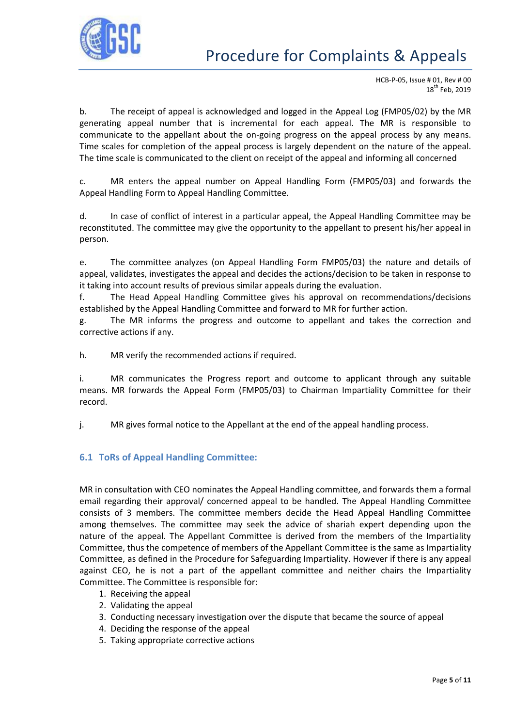

b. The receipt of appeal is acknowledged and logged in the Appeal Log (FMP05/02) by the MR generating appeal number that is incremental for each appeal. The MR is responsible to communicate to the appellant about the on-going progress on the appeal process by any means. Time scales for completion of the appeal process is largely dependent on the nature of the appeal. The time scale is communicated to the client on receipt of the appeal and informing all concerned

c. MR enters the appeal number on Appeal Handling Form (FMP05/03) and forwards the Appeal Handling Form to Appeal Handling Committee.

d. In case of conflict of interest in a particular appeal, the Appeal Handling Committee may be reconstituted. The committee may give the opportunity to the appellant to present his/her appeal in person.

e. The committee analyzes (on Appeal Handling Form FMP05/03) the nature and details of appeal, validates, investigates the appeal and decides the actions/decision to be taken in response to it taking into account results of previous similar appeals during the evaluation.

f. The Head Appeal Handling Committee gives his approval on recommendations/decisions established by the Appeal Handling Committee and forward to MR for further action.

g. The MR informs the progress and outcome to appellant and takes the correction and corrective actions if any.

h. MR verify the recommended actions if required.

i. MR communicates the Progress report and outcome to applicant through any suitable means. MR forwards the Appeal Form (FMP05/03) to Chairman Impartiality Committee for their record.

j. MR gives formal notice to the Appellant at the end of the appeal handling process.

#### <span id="page-4-0"></span>**6.1 ToRs of Appeal Handling Committee:**

MR in consultation with CEO nominates the Appeal Handling committee, and forwards them a formal email regarding their approval/ concerned appeal to be handled. The Appeal Handling Committee consists of 3 members. The committee members decide the Head Appeal Handling Committee among themselves. The committee may seek the advice of shariah expert depending upon the nature of the appeal. The Appellant Committee is derived from the members of the Impartiality Committee, thus the competence of members of the Appellant Committee is the same as Impartiality Committee, as defined in the Procedure for Safeguarding Impartiality. However if there is any appeal against CEO, he is not a part of the appellant committee and neither chairs the Impartiality Committee. The Committee is responsible for:

- 1. Receiving the appeal
- 2. Validating the appeal
- 3. Conducting necessary investigation over the dispute that became the source of appeal
- 4. Deciding the response of the appeal
- 5. Taking appropriate corrective actions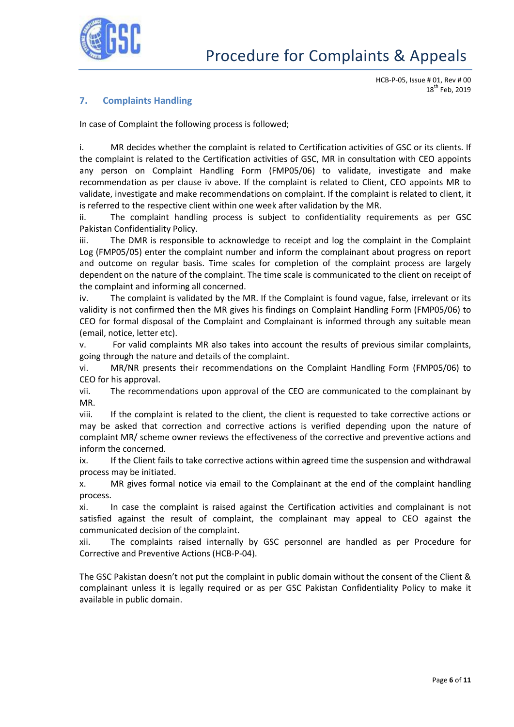

## <span id="page-5-0"></span>**7. Complaints Handling**

In case of Complaint the following process is followed;

i. MR decides whether the complaint is related to Certification activities of GSC or its clients. If the complaint is related to the Certification activities of GSC, MR in consultation with CEO appoints any person on Complaint Handling Form (FMP05/06) to validate, investigate and make recommendation as per clause iv above. If the complaint is related to Client, CEO appoints MR to validate, investigate and make recommendations on complaint. If the complaint is related to client, it is referred to the respective client within one week after validation by the MR.

ii. The complaint handling process is subject to confidentiality requirements as per GSC Pakistan Confidentiality Policy.

iii. The DMR is responsible to acknowledge to receipt and log the complaint in the Complaint Log (FMP05/05) enter the complaint number and inform the complainant about progress on report and outcome on regular basis. Time scales for completion of the complaint process are largely dependent on the nature of the complaint. The time scale is communicated to the client on receipt of the complaint and informing all concerned.

iv. The complaint is validated by the MR. If the Complaint is found vague, false, irrelevant or its validity is not confirmed then the MR gives his findings on Complaint Handling Form (FMP05/06) to CEO for formal disposal of the Complaint and Complainant is informed through any suitable mean (email, notice, letter etc).

v. For valid complaints MR also takes into account the results of previous similar complaints, going through the nature and details of the complaint.

vi. MR/NR presents their recommendations on the Complaint Handling Form (FMP05/06) to CEO for his approval.

vii. The recommendations upon approval of the CEO are communicated to the complainant by MR.

viii. If the complaint is related to the client, the client is requested to take corrective actions or may be asked that correction and corrective actions is verified depending upon the nature of complaint MR/ scheme owner reviews the effectiveness of the corrective and preventive actions and inform the concerned.

ix. If the Client fails to take corrective actions within agreed time the suspension and withdrawal process may be initiated.

x. MR gives formal notice via email to the Complainant at the end of the complaint handling process.

xi. In case the complaint is raised against the Certification activities and complainant is not satisfied against the result of complaint, the complainant may appeal to CEO against the communicated decision of the complaint.

xii. The complaints raised internally by GSC personnel are handled as per Procedure for Corrective and Preventive Actions (HCB-P-04).

The GSC Pakistan doesn't not put the complaint in public domain without the consent of the Client & complainant unless it is legally required or as per GSC Pakistan Confidentiality Policy to make it available in public domain.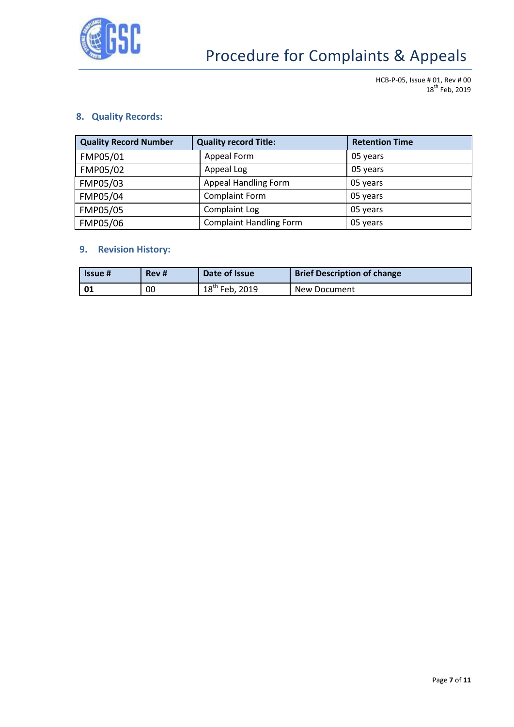

HCB-P-05, Issue # 01, Rev # 00 18<sup>th</sup> Feb, 2019

## <span id="page-6-0"></span>**8. Quality Records:**

| <b>Quality Record Number</b> | <b>Quality record Title:</b>   | <b>Retention Time</b> |
|------------------------------|--------------------------------|-----------------------|
| FMP05/01                     | Appeal Form                    | 05 years              |
| FMP05/02                     | Appeal Log                     | 05 years              |
| FMP05/03                     | Appeal Handling Form           | 05 years              |
| FMP05/04                     | <b>Complaint Form</b>          | 05 years              |
| FMP05/05                     | Complaint Log                  | 05 years              |
| FMP05/06                     | <b>Complaint Handling Form</b> | 05 years              |

## <span id="page-6-1"></span>**9. Revision History:**

| <b>Issue</b> # | Rev # | Date of Issue       | <b>Brief Description of change</b> |
|----------------|-------|---------------------|------------------------------------|
|                | 00    | $18^{th}$ Feb, 2019 | New Document                       |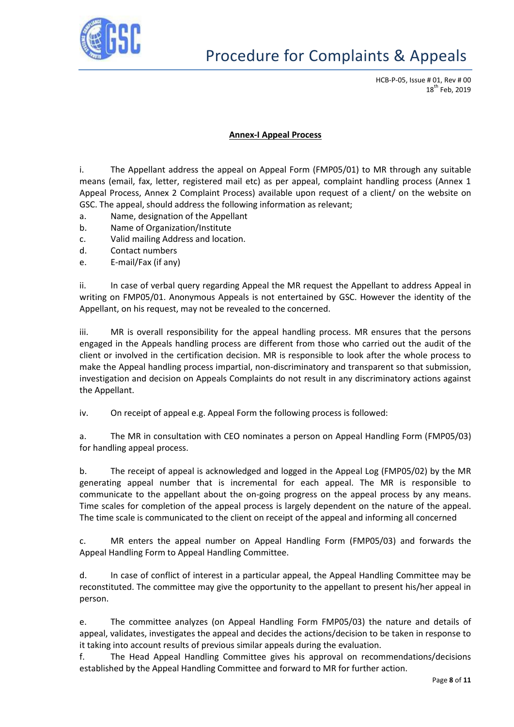

#### **Annex-I Appeal Process**

i. The Appellant address the appeal on Appeal Form (FMP05/01) to MR through any suitable means (email, fax, letter, registered mail etc) as per appeal, complaint handling process (Annex 1 Appeal Process, Annex 2 Complaint Process) available upon request of a client/ on the website on GSC. The appeal, should address the following information as relevant;

- a. Name, designation of the Appellant
- b. Name of Organization/Institute
- c. Valid mailing Address and location.
- d. Contact numbers
- e. E-mail/Fax (if any)

ii. In case of verbal query regarding Appeal the MR request the Appellant to address Appeal in writing on FMP05/01. Anonymous Appeals is not entertained by GSC. However the identity of the Appellant, on his request, may not be revealed to the concerned.

iii. MR is overall responsibility for the appeal handling process. MR ensures that the persons engaged in the Appeals handling process are different from those who carried out the audit of the client or involved in the certification decision. MR is responsible to look after the whole process to make the Appeal handling process impartial, non-discriminatory and transparent so that submission, investigation and decision on Appeals Complaints do not result in any discriminatory actions against the Appellant.

iv. On receipt of appeal e.g. Appeal Form the following process is followed:

a. The MR in consultation with CEO nominates a person on Appeal Handling Form (FMP05/03) for handling appeal process.

b. The receipt of appeal is acknowledged and logged in the Appeal Log (FMP05/02) by the MR generating appeal number that is incremental for each appeal. The MR is responsible to communicate to the appellant about the on-going progress on the appeal process by any means. Time scales for completion of the appeal process is largely dependent on the nature of the appeal. The time scale is communicated to the client on receipt of the appeal and informing all concerned

c. MR enters the appeal number on Appeal Handling Form (FMP05/03) and forwards the Appeal Handling Form to Appeal Handling Committee.

d. In case of conflict of interest in a particular appeal, the Appeal Handling Committee may be reconstituted. The committee may give the opportunity to the appellant to present his/her appeal in person.

e. The committee analyzes (on Appeal Handling Form FMP05/03) the nature and details of appeal, validates, investigates the appeal and decides the actions/decision to be taken in response to it taking into account results of previous similar appeals during the evaluation.

f. The Head Appeal Handling Committee gives his approval on recommendations/decisions established by the Appeal Handling Committee and forward to MR for further action.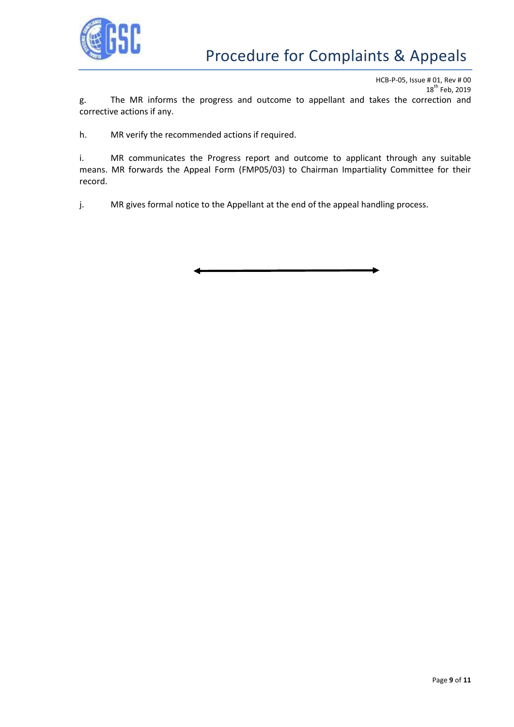

HCB-P-05, Issue # 01, Rev # 00 18<sup>th</sup> Feb, 2019 g. The MR informs the progress and outcome to appellant and takes the correction and corrective actions if any.

h. MR verify the recommended actions if required.

i. MR communicates the Progress report and outcome to applicant through any suitable means. MR forwards the Appeal Form (FMP05/03) to Chairman Impartiality Committee for their record.

j. MR gives formal notice to the Appellant at the end of the appeal handling process.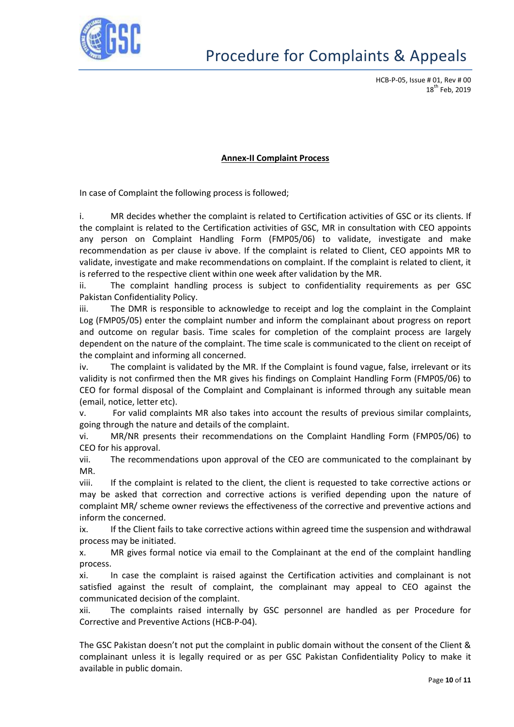

#### **Annex-II Complaint Process**

In case of Complaint the following process is followed;

i. MR decides whether the complaint is related to Certification activities of GSC or its clients. If the complaint is related to the Certification activities of GSC, MR in consultation with CEO appoints any person on Complaint Handling Form (FMP05/06) to validate, investigate and make recommendation as per clause iv above. If the complaint is related to Client, CEO appoints MR to validate, investigate and make recommendations on complaint. If the complaint is related to client, it is referred to the respective client within one week after validation by the MR.

ii. The complaint handling process is subject to confidentiality requirements as per GSC Pakistan Confidentiality Policy.

iii. The DMR is responsible to acknowledge to receipt and log the complaint in the Complaint Log (FMP05/05) enter the complaint number and inform the complainant about progress on report and outcome on regular basis. Time scales for completion of the complaint process are largely dependent on the nature of the complaint. The time scale is communicated to the client on receipt of the complaint and informing all concerned.

iv. The complaint is validated by the MR. If the Complaint is found vague, false, irrelevant or its validity is not confirmed then the MR gives his findings on Complaint Handling Form (FMP05/06) to CEO for formal disposal of the Complaint and Complainant is informed through any suitable mean (email, notice, letter etc).

v. For valid complaints MR also takes into account the results of previous similar complaints, going through the nature and details of the complaint.

vi. MR/NR presents their recommendations on the Complaint Handling Form (FMP05/06) to CEO for his approval.

vii. The recommendations upon approval of the CEO are communicated to the complainant by MR.

viii. If the complaint is related to the client, the client is requested to take corrective actions or may be asked that correction and corrective actions is verified depending upon the nature of complaint MR/ scheme owner reviews the effectiveness of the corrective and preventive actions and inform the concerned.

ix. If the Client fails to take corrective actions within agreed time the suspension and withdrawal process may be initiated.

x. MR gives formal notice via email to the Complainant at the end of the complaint handling process.

xi. In case the complaint is raised against the Certification activities and complainant is not satisfied against the result of complaint, the complainant may appeal to CEO against the communicated decision of the complaint.

xii. The complaints raised internally by GSC personnel are handled as per Procedure for Corrective and Preventive Actions (HCB-P-04).

The GSC Pakistan doesn't not put the complaint in public domain without the consent of the Client & complainant unless it is legally required or as per GSC Pakistan Confidentiality Policy to make it available in public domain.